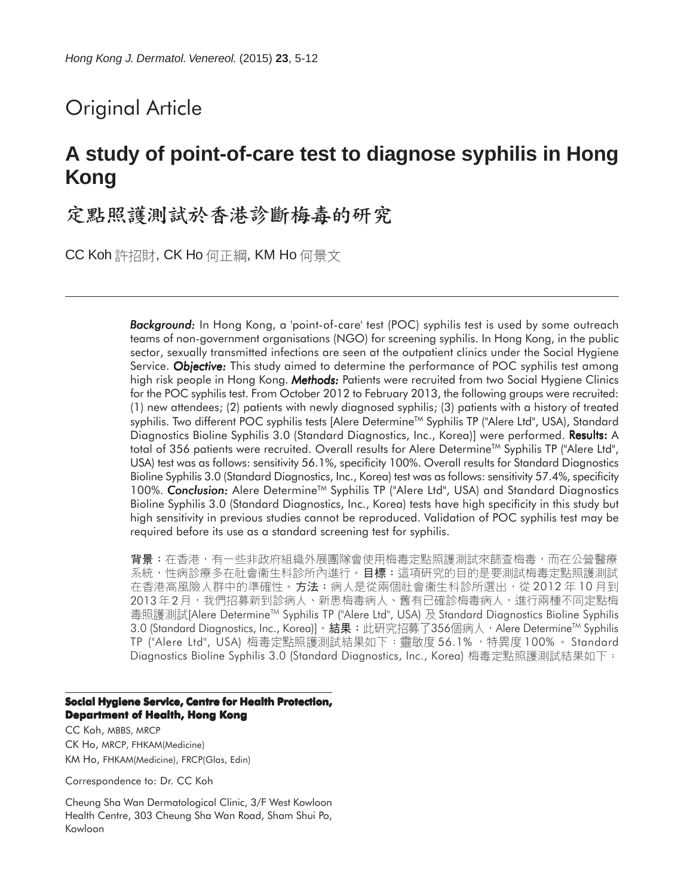# Original Article

# **A study of point-of-care test to diagnose syphilis in Hong Kong**

定點照護測試於香港診斷梅毒的研究

CC Koh 許招財, CK Ho 何正綱, KM Ho 何景文

*Background: Background:* In Hong Kong, a 'point-of-care' test (POC) syphilis test is used by some outreach teams of non-government organisations (NGO) for screening syphilis. In Hong Kong, in the public sector, sexually transmitted infections are seen at the outpatient clinics under the Social Hygiene Service. *Objective:* This study aimed to determine the performance of POC syphilis test among high risk people in Hong Kong. *Methods:* Patients were recruited from two Social Hygiene Clinics for the POC syphilis test. From October 2012 to February 2013, the following groups were recruited: (1) new attendees; (2) patients with newly diagnosed syphilis; (3) patients with a history of treated syphilis. Two different POC syphilis tests [Alere Determine™ Syphilis TP ("Alere Ltd", USA), Standard Diagnostics Bioline Syphilis 3.0 (Standard Diagnostics, Inc., Korea)] were performed. **Results:** A total of 356 patients were recruited. Overall results for Alere Determine™ Syphilis TP ("Alere Ltd", USA) test was as follows: sensitivity 56.1%, specificity 100%. Overall results for Standard Diagnostics Bioline Syphilis 3.0 (Standard Diagnostics, Inc., Korea) test was as follows: sensitivity 57.4%, specificity 100%. **Conclusion:** Alere Determine<sup>™</sup> Syphilis TP ("Alere Ltd", USA) and Standard Diagnostics Bioline Syphilis 3.0 (Standard Diagnostics, Inc., Korea) tests have high specificity in this study but high sensitivity in previous studies cannot be reproduced. Validation of POC syphilis test may be required before its use as a standard screening test for syphilis.

背景:在香港,有一些非政府組織外展團隊會使用梅毒定點照護測試來篩查梅毒,而在公營醫療 系統,性病診療多在社會衞生科診所內進行。目標:這項研究的目的是要測試梅毒定點照護測試 在香港高風險人群中的準確性。方法:病人是從兩個社會衞生科診所選出,從 2012 年 10 月到 2013年2月,我們招募新到診病人、新患梅毒病人、舊有已確診梅毒病人,進行兩種不同定點梅 毒照護測試[Alere Determine™ Syphilis TP ("Alere Ltd", USA) 及 Standard Diagnostics Bioline Syphilis 3.0 (Standard Diagnostics, Inc., Korea)]。結果:此研究招募了356個病人,Alere Determine™ Syphilis TP ("Alere Ltd", USA) 梅毒定點照護測試結果如下:靈敏度 56.1% ,特異度 100% 。 Standard Diagnostics Bioline Syphilis 3.0 (Standard Diagnostics, Inc., Korea) 梅毒定點照護測試結果如下:

#### **Social Hygiene Service, Centre for Health Protection, Department of Health, Hong Kong**

CC Koh, MBBS, MRCP CK Ho, MRCP, FHKAM(Medicine) KM Ho, FHKAM(Medicine), FRCP(Glas, Edin)

Correspondence to: Dr. CC Koh

Cheung Sha Wan Dermatological Clinic, 3/F West Kowloon Health Centre, 303 Cheung Sha Wan Road, Sham Shui Po, Kowloon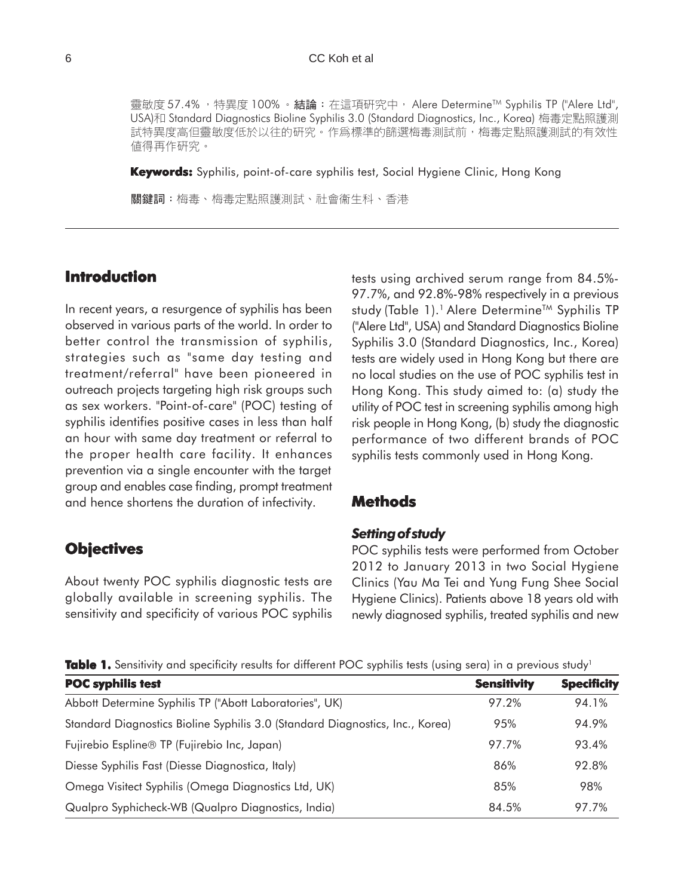靈敏度 57.4%, 特異度 100%。結論:在這項研究中, Alere Determine™ Syphilis TP ("Alere Ltd", USA)和 Standard Diagnostics Bioline Syphilis 3.0 (Standard Diagnostics, Inc., Korea) 梅毒定點照護測 試特異度高但靈敏度低於以往的研究。作爲標準的篩選梅毒測試前,梅毒定點照護測試的有效性 値得再作研究。

**Keywords:** Syphilis, point-of-care syphilis test, Social Hygiene Clinic, Hong Kong

關鍵詞:梅毒、梅毒定點照護測試、社會衞生科、香港

# **Introduction**

In recent years, a resurgence of syphilis has been observed in various parts of the world. In order to better control the transmission of syphilis, strategies such as "same day testing and treatment/referral" have been pioneered in outreach projects targeting high risk groups such as sex workers. "Point-of-care" (POC) testing of syphilis identifies positive cases in less than half an hour with same day treatment or referral to the proper health care facility. It enhances prevention via a single encounter with the target group and enables case finding, prompt treatment and hence shortens the duration of infectivity.

## **Objectives**

About twenty POC syphilis diagnostic tests are globally available in screening syphilis. The sensitivity and specificity of various POC syphilis tests using archived serum range from 84.5%- 97.7%, and 92.8%-98% respectively in a previous study (Table 1).<sup>1</sup> Alere Determine<sup>™</sup> Syphilis TP ("Alere Ltd", USA) and Standard Diagnostics Bioline Syphilis 3.0 (Standard Diagnostics, Inc., Korea) tests are widely used in Hong Kong but there are no local studies on the use of POC syphilis test in Hong Kong. This study aimed to: (a) study the utility of POC test in screening syphilis among high risk people in Hong Kong, (b) study the diagnostic performance of two different brands of POC syphilis tests commonly used in Hong Kong.

# **Methods**

#### *Setting of study*

POC syphilis tests were performed from October 2012 to January 2013 in two Social Hygiene Clinics (Yau Ma Tei and Yung Fung Shee Social Hygiene Clinics). Patients above 18 years old with newly diagnosed syphilis, treated syphilis and new

**Table 1.** Sensitivity and specificity results for different POC syphilis tests (using sera) in a previous study<sup>1</sup>

| <b>POC syphilis test</b>                                                      | <b>Sensitivity</b> | <b>Specificity</b> |
|-------------------------------------------------------------------------------|--------------------|--------------------|
| Abbott Determine Syphilis TP ("Abott Laboratories", UK)                       | 97.2%              | 94.1%              |
| Standard Diagnostics Bioline Syphilis 3.0 (Standard Diagnostics, Inc., Korea) | 95%                | 94.9%              |
| Fujirebio Espline® TP (Fujirebio Inc, Japan)                                  | 97.7%              | 93.4%              |
| Diesse Syphilis Fast (Diesse Diagnostica, Italy)                              | 86%                | 92.8%              |
| Omega Visitect Syphilis (Omega Diagnostics Ltd, UK)                           | 85%                | 98%                |
| Qualpro Syphicheck-WB (Qualpro Diagnostics, India)                            | 84.5%              | 97.7%              |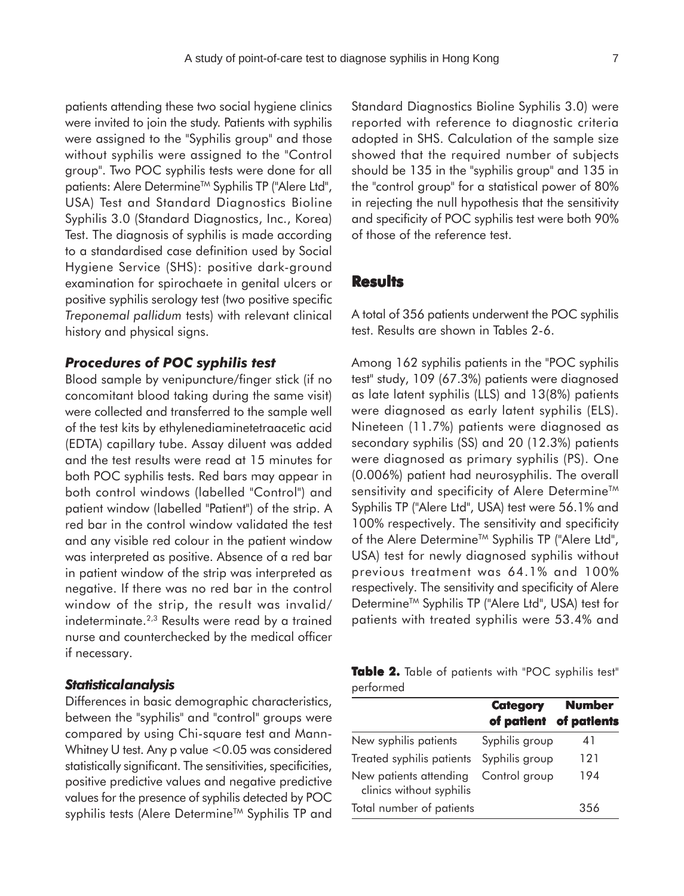patients attending these two social hygiene clinics were invited to join the study. Patients with syphilis were assigned to the "Syphilis group" and those without syphilis were assigned to the "Control group". Two POC syphilis tests were done for all patients: Alere Determine<sup>™</sup> Syphilis TP ("Alere Ltd", USA) Test and Standard Diagnostics Bioline Syphilis 3.0 (Standard Diagnostics, Inc., Korea) Test. The diagnosis of syphilis is made according to a standardised case definition used by Social Hygiene Service (SHS): positive dark-ground examination for spirochaete in genital ulcers or positive syphilis serology test (two positive specific *Treponemal pallidum* tests) with relevant clinical history and physical signs.

#### *Procedures of POC syphilis test*

Blood sample by venipuncture/finger stick (if no concomitant blood taking during the same visit) were collected and transferred to the sample well of the test kits by ethylenediaminetetraacetic acid (EDTA) capillary tube. Assay diluent was added and the test results were read at 15 minutes for both POC syphilis tests. Red bars may appear in both control windows (labelled "Control") and patient window (labelled "Patient") of the strip. A red bar in the control window validated the test and any visible red colour in the patient window was interpreted as positive. Absence of a red bar in patient window of the strip was interpreted as negative. If there was no red bar in the control window of the strip, the result was invalid/ indeterminate.2,3 Results were read by a trained nurse and counterchecked by the medical officer if necessary.

### *Statistical analysis*

Differences in basic demographic characteristics, between the "syphilis" and "control" groups were compared by using Chi-square test and Mann-Whitney U test. Any p value <0.05 was considered statistically significant. The sensitivities, specificities, positive predictive values and negative predictive values for the presence of syphilis detected by POC syphilis tests (Alere Determine™ Syphilis TP and Standard Diagnostics Bioline Syphilis 3.0) were reported with reference to diagnostic criteria adopted in SHS. Calculation of the sample size showed that the required number of subjects should be 135 in the "syphilis group" and 135 in the "control group" for a statistical power of 80% in rejecting the null hypothesis that the sensitivity and specificity of POC syphilis test were both 90% of those of the reference test.

## **Results**

A total of 356 patients underwent the POC syphilis test. Results are shown in Tables 2-6.

Among 162 syphilis patients in the "POC syphilis test" study, 109 (67.3%) patients were diagnosed as late latent syphilis (LLS) and 13(8%) patients were diagnosed as early latent syphilis (ELS). Nineteen (11.7%) patients were diagnosed as secondary syphilis (SS) and 20 (12.3%) patients were diagnosed as primary syphilis (PS). One (0.006%) patient had neurosyphilis. The overall sensitivity and specificity of Alere Determine<sup>™</sup> Syphilis TP ("Alere Ltd", USA) test were 56.1% and 100% respectively. The sensitivity and specificity of the Alere Determine<sup>™</sup> Syphilis TP ("Alere Ltd", USA) test for newly diagnosed syphilis without previous treatment was 64.1% and 100% respectively. The sensitivity and specificity of Alere Determine<sup>™</sup> Syphilis TP ("Alere Ltd", USA) test for patients with treated syphilis were 53.4% and

|           |  | <b>Table 2.</b> Table of patients with "POC syphilis test" |  |  |
|-----------|--|------------------------------------------------------------|--|--|
| performed |  |                                                            |  |  |

|                                                    | <b>Category</b><br>of patient | <b>Number</b><br>of patients |
|----------------------------------------------------|-------------------------------|------------------------------|
| New syphilis patients                              | Syphilis group                | 41                           |
| Treated syphilis patients                          | Syphilis group                | 121                          |
| New patients attending<br>clinics without syphilis | Control group                 | 194                          |
| Total number of patients                           |                               | 356                          |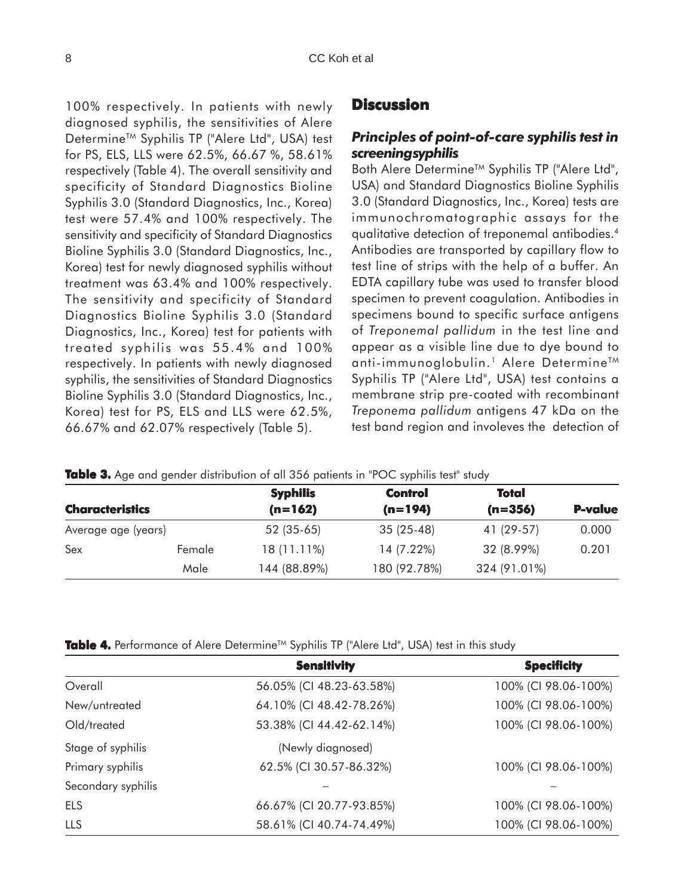100% respectively. In patients with newly diagnosed syphilis, the sensitivities of Alere Determine<sup>™</sup> Syphilis TP ("Alere Ltd", USA) test for PS, ELS, LLS were 62.5%, 66.67 %, 58.61% respectively (Table 4). The overall sensitivity and specificity of Standard Diagnostics Bioline Syphilis 3.0 (Standard Diagnostics, Inc., Korea) test were 57.4% and 100% respectively. The sensitivity and specificity of Standard Diagnostics Bioline Syphilis 3.0 (Standard Diagnostics, Inc., Korea) test for newly diagnosed syphilis without treatment was 63.4% and 100% respectively. The sensitivity and specificity of Standard Diagnostics Bioline Syphilis 3.0 (Standard Diagnostics, Inc., Korea) test for patients with treated syphilis was 55.4% and 100% respectively. In patients with newly diagnosed syphilis, the sensitivities of Standard Diagnostics Bioline Syphilis 3.0 (Standard Diagnostics, Inc., Korea) test for PS, ELS and LLS were 62.5%, 66.67% and 62.07% respectively (Table 5).

## **Discussion**

## *Principles of point-of-care syphilis test in screening syphilis*

Both Alere Determine<sup>™</sup> Syphilis TP ("Alere Ltd", USA) and Standard Diagnostics Bioline Syphilis 3.0 (Standard Diagnostics, Inc., Korea) tests are immunochromatographic assays for the qualitative detection of treponemal antibodies.4 Antibodies are transported by capillary flow to test line of strips with the help of a buffer. An EDTA capillary tube was used to transfer blood specimen to prevent coagulation. Antibodies in specimens bound to specific surface antigens of *Treponemal pallidum* in the test line and appear as a visible line due to dye bound to anti-immunoglobulin.<sup>1</sup> Alere Determine<sup>™</sup> Syphilis TP ("Alere Ltd", USA) test contains a membrane strip pre-coated with recombinant *Treponema pallidum* antigens 47 kDa on the test band region and involeves the detection of

|  |  |  |  | Table 3. Age and gender distribution of all 356 patients in "POC syphilis test" study |  |  |  |  |  |  |  |  |  |
|--|--|--|--|---------------------------------------------------------------------------------------|--|--|--|--|--|--|--|--|--|
|--|--|--|--|---------------------------------------------------------------------------------------|--|--|--|--|--|--|--|--|--|

|                        |        | <b>Syphilis</b>        | <b>Control</b> | Total        |                |  |
|------------------------|--------|------------------------|----------------|--------------|----------------|--|
| <b>Characteristics</b> |        | $(n=162)$<br>$(n=194)$ |                | $(n=356)$    | <b>P-value</b> |  |
| Average age (years)    |        | $52(35-65)$            | $35(25-48)$    | 41 (29-57)   | 0.000          |  |
| Sex                    | Female | 18 (11.11%)            | 14 (7.22%)     | 32 (8.99%)   | 0.201          |  |
|                        | Male   | 144 (88.89%)           | 180 (92.78%)   | 324 (91.01%) |                |  |

| <b>Table 4.</b> Performance of Alere Determine™ Syphilis TP ("Alere Ltd", USA) test in this study |  |  |  |
|---------------------------------------------------------------------------------------------------|--|--|--|
|---------------------------------------------------------------------------------------------------|--|--|--|

|                    | <b>Sensitivity</b>       | <b>Specificity</b>   |
|--------------------|--------------------------|----------------------|
| Overall            | 56.05% (CI 48.23-63.58%) | 100% (CI 98.06-100%) |
| New/untreated      | 64.10% (CI 48.42-78.26%) | 100% (CI 98.06-100%) |
| Old/treated        | 53.38% (CI 44.42-62.14%) | 100% (CI 98.06-100%) |
| Stage of syphilis  | (Newly diagnosed)        |                      |
| Primary syphilis   | 62.5% (CI 30.57-86.32%)  | 100% (CI 98.06-100%) |
| Secondary syphilis |                          |                      |
| ELS                | 66.67% (CI 20.77-93.85%) | 100% (CI 98.06-100%) |
| LLS                | 58.61% (CI 40.74-74.49%) | 100% (CI 98.06-100%) |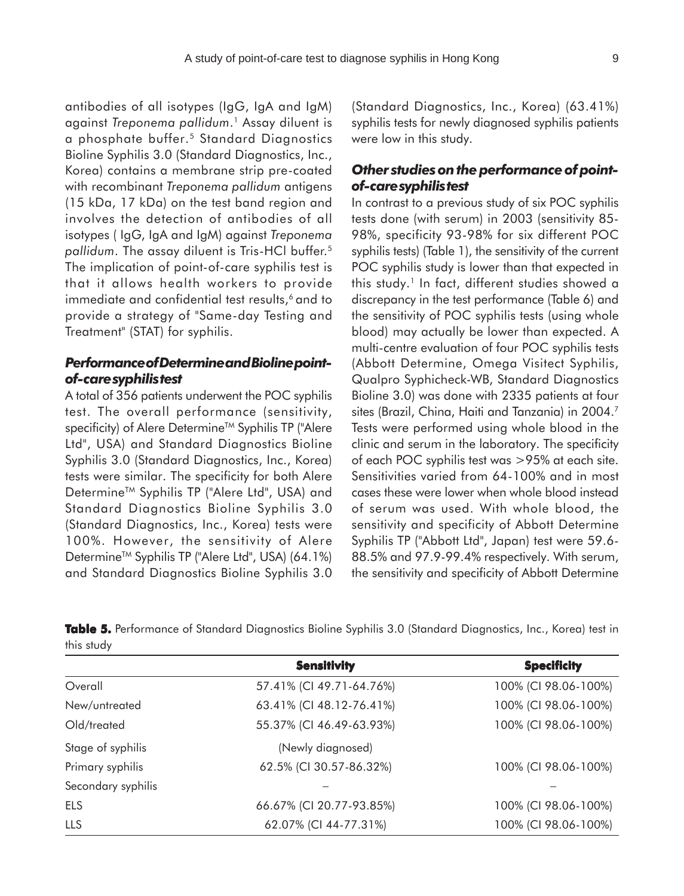antibodies of all isotypes (IgG, IgA and IgM) against *Treponema pallidum*. 1 Assay diluent is a phosphate buffer.5 Standard Diagnostics Bioline Syphilis 3.0 (Standard Diagnostics, Inc., Korea) contains a membrane strip pre-coated with recombinant *Treponema pallidum* antigens (15 kDa, 17 kDa) on the test band region and involves the detection of antibodies of all isotypes ( IgG, IgA and IgM) against *Treponema pallidum*. The assay diluent is Tris-HCl buffer.5 The implication of point-of-care syphilis test is that it allows health workers to provide immediate and confidential test results,<sup>6</sup> and to provide a strategy of "Same-day Testing and Treatment" (STAT) for syphilis.

# *Performance of Determine and Bioline pointof-care syphilis test*

A total of 356 patients underwent the POC syphilis test. The overall performance (sensitivity, specificity) of Alere Determine™ Syphilis TP ("Alere Ltd", USA) and Standard Diagnostics Bioline Syphilis 3.0 (Standard Diagnostics, Inc., Korea) tests were similar. The specificity for both Alere Determine<sup>™</sup> Syphilis TP ("Alere Ltd", USA) and Standard Diagnostics Bioline Syphilis 3.0 (Standard Diagnostics, Inc., Korea) tests were 100%. However, the sensitivity of Alere Determine<sup>™</sup> Syphilis TP ("Alere Ltd", USA) (64.1%) and Standard Diagnostics Bioline Syphilis 3.0 (Standard Diagnostics, Inc., Korea) (63.41%) syphilis tests for newly diagnosed syphilis patients were low in this study.

# *Other studies on the performance of pointof-care syphilis test*

In contrast to a previous study of six POC syphilis tests done (with serum) in 2003 (sensitivity 85- 98%, specificity 93-98% for six different POC syphilis tests) (Table 1), the sensitivity of the current POC syphilis study is lower than that expected in this study.<sup>1</sup> In fact, different studies showed a discrepancy in the test performance (Table 6) and the sensitivity of POC syphilis tests (using whole blood) may actually be lower than expected. A multi-centre evaluation of four POC syphilis tests (Abbott Determine, Omega Visitect Syphilis, Qualpro Syphicheck-WB, Standard Diagnostics Bioline 3.0) was done with 2335 patients at four sites (Brazil, China, Haiti and Tanzania) in 2004.7 Tests were performed using whole blood in the clinic and serum in the laboratory. The specificity of each POC syphilis test was >95% at each site. Sensitivities varied from 64-100% and in most cases these were lower when whole blood instead of serum was used. With whole blood, the sensitivity and specificity of Abbott Determine Syphilis TP ("Abbott Ltd", Japan) test were 59.6- 88.5% and 97.9-99.4% respectively. With serum, the sensitivity and specificity of Abbott Determine

|                    | <b>Sensitivity</b>       | <b>Specificity</b>   |
|--------------------|--------------------------|----------------------|
| Overall            | 57.41% (CI 49.71-64.76%) | 100% (CI 98.06-100%) |
| New/untreated      | 63.41% (CI 48.12-76.41%) | 100% (CI 98.06-100%) |
| Old/treated        | 55.37% (CI 46.49-63.93%) | 100% (CI 98.06-100%) |
| Stage of syphilis  | (Newly diagnosed)        |                      |
| Primary syphilis   | 62.5% (CI 30.57-86.32%)  | 100% (CI 98.06-100%) |
| Secondary syphilis |                          |                      |
| <b>ELS</b>         | 66.67% (CI 20.77-93.85%) | 100% (CI 98.06-100%) |
| <b>LLS</b>         | 62.07% (CI 44-77.31%)    | 100% (CI 98.06-100%) |

**Table 5.** Performance of Standard Diagnostics Bioline Syphilis 3.0 (Standard Diagnostics, Inc., Korea) test in this study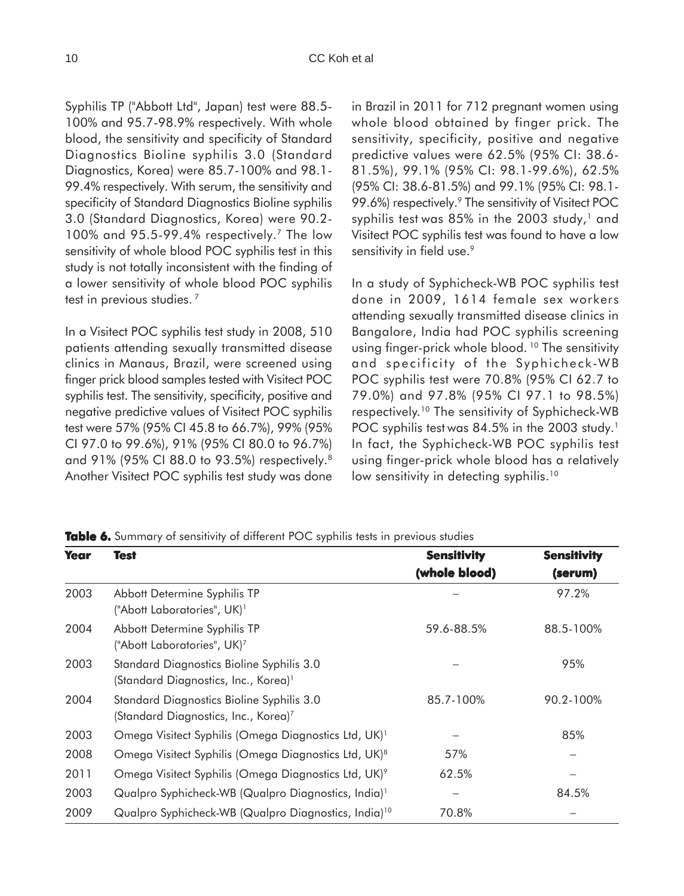Syphilis TP ("Abbott Ltd", Japan) test were 88.5- 100% and 95.7-98.9% respectively. With whole blood, the sensitivity and specificity of Standard Diagnostics Bioline syphilis 3.0 (Standard Diagnostics, Korea) were 85.7-100% and 98.1- 99.4% respectively. With serum, the sensitivity and specificity of Standard Diagnostics Bioline syphilis 3.0 (Standard Diagnostics, Korea) were 90.2- 100% and 95.5-99.4% respectively.7 The low sensitivity of whole blood POC syphilis test in this study is not totally inconsistent with the finding of a lower sensitivity of whole blood POC syphilis test in previous studies.<sup>7</sup>

In a Visitect POC syphilis test study in 2008, 510 patients attending sexually transmitted disease clinics in Manaus, Brazil, were screened using finger prick blood samples tested with Visitect POC syphilis test. The sensitivity, specificity, positive and negative predictive values of Visitect POC syphilis test were 57% (95% CI 45.8 to 66.7%), 99% (95% CI 97.0 to 99.6%), 91% (95% CI 80.0 to 96.7%) and 91% (95% CI 88.0 to 93.5%) respectively.8 Another Visitect POC syphilis test study was done in Brazil in 2011 for 712 pregnant women using whole blood obtained by finger prick. The sensitivity, specificity, positive and negative predictive values were 62.5% (95% CI: 38.6- 81.5%), 99.1% (95% CI: 98.1-99.6%), 62.5% (95% CI: 38.6-81.5%) and 99.1% (95% CI: 98.1- 99.6%) respectively.<sup>9</sup> The sensitivity of Visitect POC syphilis test was  $85\%$  in the 2003 study,<sup>1</sup> and Visitect POC syphilis test was found to have a low sensitivity in field use.<sup>9</sup>

In a study of Syphicheck-WB POC syphilis test done in 2009, 1614 female sex workers attending sexually transmitted disease clinics in Bangalore, India had POC syphilis screening using finger-prick whole blood.<sup>10</sup> The sensitivity and specificity of the Syphicheck-WB POC syphilis test were 70.8% (95% CI 62.7 to 79.0%) and 97.8% (95% CI 97.1 to 98.5%) respectively.10 The sensitivity of Syphicheck-WB POC syphilis test was 84.5% in the 2003 study.<sup>1</sup> In fact, the Syphicheck-WB POC syphilis test using finger-prick whole blood has a relatively low sensitivity in detecting syphilis.<sup>10</sup>

**Table 6.** Summary of sensitivity of different POC syphilis tests in previous studies

| <b>Year</b> | Test                                                                                          | <b>Sensitivity</b> | <b>Sensitivity</b> |
|-------------|-----------------------------------------------------------------------------------------------|--------------------|--------------------|
|             |                                                                                               | (whole blood)      | (serum)            |
| 2003        | Abbott Determine Syphilis TP<br>("Abott Laboratories", UK) <sup>1</sup>                       |                    | 97.2%              |
| 2004        | Abbott Determine Syphilis TP<br>("Abott Laboratories", UK) <sup>7</sup>                       | 59.6-88.5%         | 88.5-100%          |
| 2003        | Standard Diagnostics Bioline Syphilis 3.0<br>(Standard Diagnostics, Inc., Korea) <sup>1</sup> |                    | 95%                |
| 2004        | Standard Diagnostics Bioline Syphilis 3.0<br>(Standard Diagnostics, Inc., Korea) <sup>7</sup> | 85.7-100%          | 90.2-100%          |
| 2003        | Omega Visitect Syphilis (Omega Diagnostics Ltd, UK) <sup>1</sup>                              |                    | 85%                |
| 2008        | Omega Visitect Syphilis (Omega Diagnostics Ltd, UK) <sup>8</sup>                              | 57%                |                    |
| 2011        | Omega Visitect Syphilis (Omega Diagnostics Ltd, UK) <sup>9</sup>                              | 62.5%              |                    |
| 2003        | Qualpro Syphicheck-WB (Qualpro Diagnostics, India) <sup>1</sup>                               |                    | 84.5%              |
| 2009        | Qualpro Syphicheck-WB (Qualpro Diagnostics, India) <sup>10</sup>                              | 70.8%              |                    |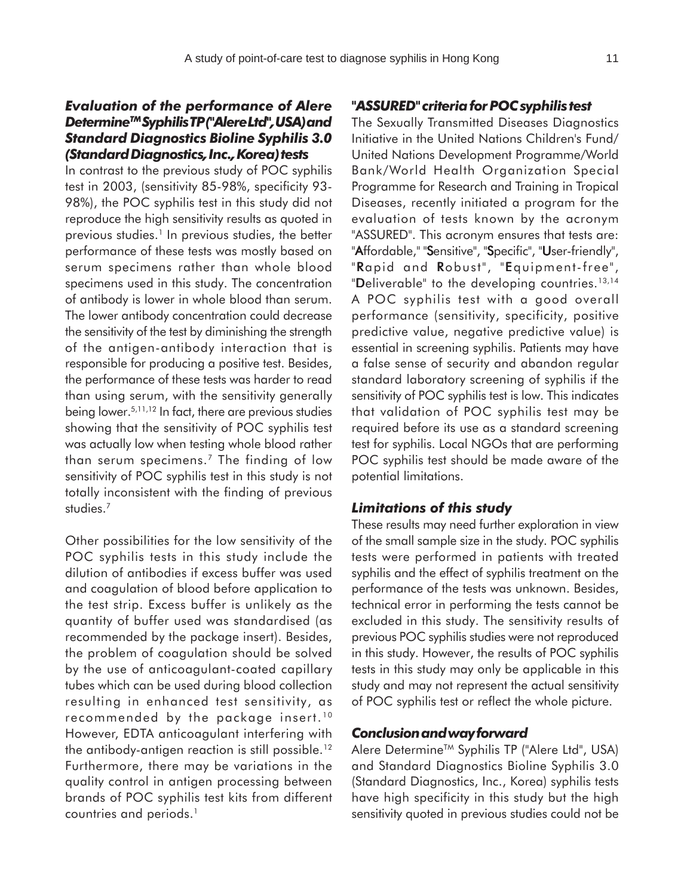# *Evaluation of the performance of Alere DetermineTM Syphilis TP ("Alere Ltd", USA) and Standard Diagnostics Bioline Syphilis 3.0 (Standard Diagnostics, Inc., Korea) tests*

In contrast to the previous study of POC syphilis test in 2003, (sensitivity 85-98%, specificity 93- 98%), the POC syphilis test in this study did not reproduce the high sensitivity results as quoted in previous studies.<sup>1</sup> In previous studies, the better performance of these tests was mostly based on serum specimens rather than whole blood specimens used in this study. The concentration of antibody is lower in whole blood than serum. The lower antibody concentration could decrease the sensitivity of the test by diminishing the strength of the antigen-antibody interaction that is responsible for producing a positive test. Besides, the performance of these tests was harder to read than using serum, with the sensitivity generally being lower.5,11,12 In fact, there are previous studies showing that the sensitivity of POC syphilis test was actually low when testing whole blood rather than serum specimens.7 The finding of low sensitivity of POC syphilis test in this study is not totally inconsistent with the finding of previous studies.7

Other possibilities for the low sensitivity of the POC syphilis tests in this study include the dilution of antibodies if excess buffer was used and coagulation of blood before application to the test strip. Excess buffer is unlikely as the quantity of buffer used was standardised (as recommended by the package insert). Besides, the problem of coagulation should be solved by the use of anticoagulant-coated capillary tubes which can be used during blood collection resulting in enhanced test sensitivity, as recommended by the package insert. <sup>10</sup> However, EDTA anticoagulant interfering with the antibody-antigen reaction is still possible.12 Furthermore, there may be variations in the quality control in antigen processing between brands of POC syphilis test kits from different countries and periods.<sup>1</sup>

#### *"ASSURED" criteria for POC syphilis test*

The Sexually Transmitted Diseases Diagnostics Initiative in the United Nations Children's Fund/ United Nations Development Programme/World Bank/World Health Organization Special Programme for Research and Training in Tropical Diseases, recently initiated a program for the evaluation of tests known by the acronym "ASSURED". This acronym ensures that tests are: "Affordable," "Sensitive", "Specific", "User-friendly", "Rapid and Robust", "Equipment-free", "Deliverable" to the developing countries.<sup>13,14</sup> A POC syphilis test with a good overall performance (sensitivity, specificity, positive predictive value, negative predictive value) is essential in screening syphilis. Patients may have a false sense of security and abandon regular standard laboratory screening of syphilis if the sensitivity of POC syphilis test is low. This indicates that validation of POC syphilis test may be required before its use as a standard screening test for syphilis. Local NGOs that are performing POC syphilis test should be made aware of the potential limitations.

## *Limitations of this study*

These results may need further exploration in view of the small sample size in the study. POC syphilis tests were performed in patients with treated syphilis and the effect of syphilis treatment on the performance of the tests was unknown. Besides, technical error in performing the tests cannot be excluded in this study. The sensitivity results of previous POC syphilis studies were not reproduced in this study. However, the results of POC syphilis tests in this study may only be applicable in this study and may not represent the actual sensitivity of POC syphilis test or reflect the whole picture.

#### *Conclusion and way forward*

Alere Determine<sup>™</sup> Syphilis TP ("Alere Ltd", USA) and Standard Diagnostics Bioline Syphilis 3.0 (Standard Diagnostics, Inc., Korea) syphilis tests have high specificity in this study but the high sensitivity quoted in previous studies could not be